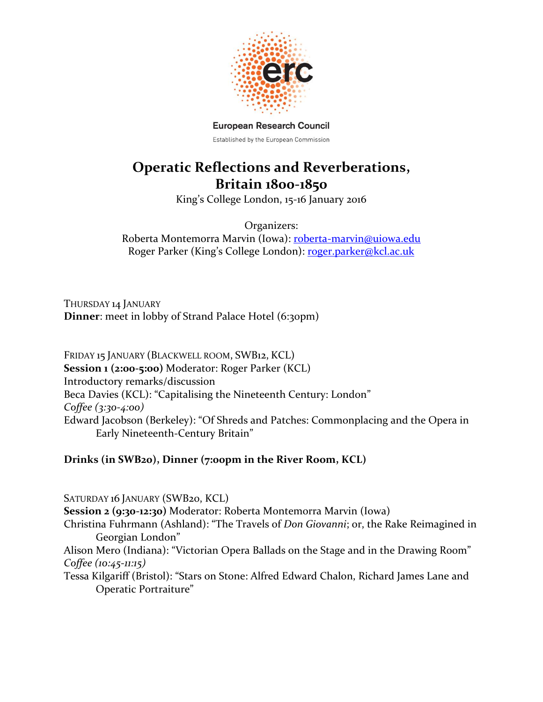

**European Research Council** Established by the European Commission

## **Operatic Reflections and Reverberations, Britain 1800-1850**

King's College London, 15-16 January 2016

Organizers: Roberta Montemorra Marvin (Iowa): [roberta-marvin@uiowa.edu](mailto:roberta-marvin@uiowa.edu) Roger Parker (King's College London): [roger.parker@kcl.ac.uk](mailto:roger.parker@kcl.ac.uk)

THURSDAY 14 JANUARY **Dinner**: meet in lobby of Strand Palace Hotel (6:30pm)

FRIDAY 15 JANUARY (BLACKWELL ROOM, SWB12, KCL) **Session 1 (2:00-5:00)** Moderator: Roger Parker (KCL) Introductory remarks/discussion Beca Davies (KCL): "Capitalising the Nineteenth Century: London" *Coffee (3:30-4:00)* Edward Jacobson (Berkeley): "Of Shreds and Patches: Commonplacing and the Opera in Early Nineteenth-Century Britain"

## **Drinks (in SWB20), Dinner (7:00pm in the River Room, KCL)**

SATURDAY 16 JANUARY (SWB<sub>20</sub>, KCL) **Session 2 (9:30-12:30)** Moderator: Roberta Montemorra Marvin (Iowa) Christina Fuhrmann (Ashland): "The Travels of *Don Giovanni*; or, the Rake Reimagined in Georgian London" Alison Mero (Indiana): "Victorian Opera Ballads on the Stage and in the Drawing Room" *Coffee (10:45-11:15)* Tessa Kilgariff (Bristol): "Stars on Stone: Alfred Edward Chalon, Richard James Lane and

Operatic Portraiture"